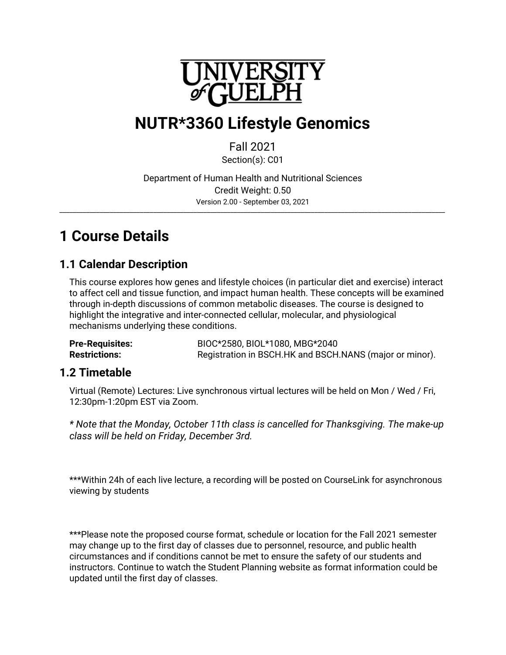

# **NUTR\*3360 Lifestyle Genomics**

### Fall 2021

Section(s): C01

Department of Human Health and Nutritional Sciences Credit Weight: 0.50 Version 2.00 - September 03, 2021 \_\_\_\_\_\_\_\_\_\_\_\_\_\_\_\_\_\_\_\_\_\_\_\_\_\_\_\_\_\_\_\_\_\_\_\_\_\_\_\_\_\_\_\_\_\_\_\_\_\_\_\_\_\_\_\_\_\_\_\_\_\_\_\_\_\_\_\_\_\_\_\_\_\_\_\_\_\_\_\_\_\_\_\_\_\_\_\_\_\_\_\_\_\_\_\_\_\_\_\_\_\_\_\_\_\_\_\_\_\_\_\_\_\_\_

# **1 Course Details**

### **1.1 Calendar Description**

This course explores how genes and lifestyle choices (in particular diet and exercise) interact to affect cell and tissue function, and impact human health. These concepts will be examined through in-depth discussions of common metabolic diseases. The course is designed to highlight the integrative and inter-connected cellular, molecular, and physiological mechanisms underlying these conditions.

**Pre-Requisites:** BIOC\*2580, BIOL\*1080, MBG\*2040 Restrictions: Registration in BSCH.HK and BSCH.NANS (major or minor).

### **1.2 Timetable**

Virtual (Remote) Lectures: Live synchronous virtual lectures will be held on Mon / Wed / Fri, 12:30pm-1:20pm EST via Zoom.

*\* Note that the Monday, October 11th class is cancelled for Thanksgiving. The make-up class will be held on Friday, December 3rd.*

\*\*\*Within 24h of each live lecture, a recording will be posted on CourseLink for asynchronous viewing by students

\*\*\*Please note the proposed course format, schedule or location for the Fall 2021 semester may change up to the first day of classes due to personnel, resource, and public health circumstances and if conditions cannot be met to ensure the safety of our students and instructors. Continue to watch the Student Planning website as format information could be updated until the first day of classes.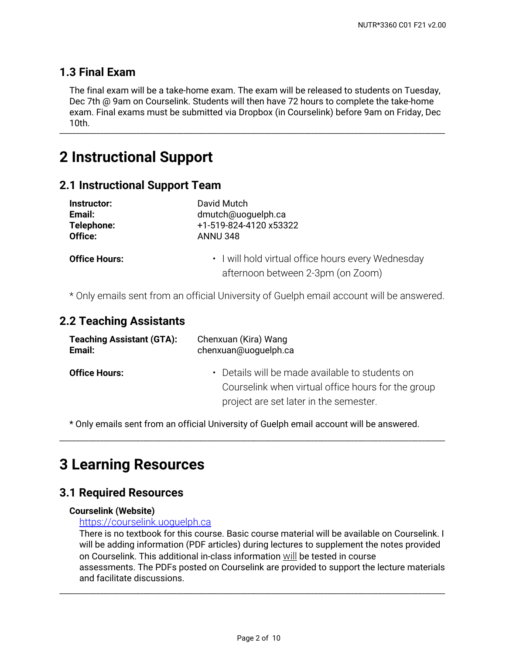### **1.3 Final Exam**

The final exam will be a take-home exam. The exam will be released to students on Tuesday, Dec 7th @ 9am on Courselink. Students will then have 72 hours to complete the take-home exam. Final exams must be submitted via Dropbox (in Courselink) before 9am on Friday, Dec 10th. \_\_\_\_\_\_\_\_\_\_\_\_\_\_\_\_\_\_\_\_\_\_\_\_\_\_\_\_\_\_\_\_\_\_\_\_\_\_\_\_\_\_\_\_\_\_\_\_\_\_\_\_\_\_\_\_\_\_\_\_\_\_\_\_\_\_\_\_\_\_\_\_\_\_\_\_\_\_\_\_\_\_\_\_\_\_\_\_\_\_\_\_\_\_\_\_\_\_\_\_\_\_\_\_\_\_\_\_\_\_\_\_\_\_\_

## **2 Instructional Support**

### **2.1 Instructional Support Team**

| Instructor:          | David Mutch                                                                             |  |
|----------------------|-----------------------------------------------------------------------------------------|--|
| Email:               | dmutch@uoguelph.ca                                                                      |  |
| Telephone:           | +1-519-824-4120 x53322                                                                  |  |
| Office:              | <b>ANNU 348</b>                                                                         |  |
| <b>Office Hours:</b> | • I will hold virtual office hours every Wednesday<br>afternoon between 2-3pm (on Zoom) |  |

\* Only emails sent from an official University of Guelph email account will be answered.

### **2.2 Teaching Assistants**

| <b>Teaching Assistant (GTA):</b> | Chenxuan (Kira) Wang                                                                                                                            |  |  |
|----------------------------------|-------------------------------------------------------------------------------------------------------------------------------------------------|--|--|
| Email:                           | chenxuan@uoguelph.ca                                                                                                                            |  |  |
| <b>Office Hours:</b>             | • Details will be made available to students on<br>Courselink when virtual office hours for the group<br>project are set later in the semester. |  |  |

\* Only emails sent from an official University of Guelph email account will be answered.

\_\_\_\_\_\_\_\_\_\_\_\_\_\_\_\_\_\_\_\_\_\_\_\_\_\_\_\_\_\_\_\_\_\_\_\_\_\_\_\_\_\_\_\_\_\_\_\_\_\_\_\_\_\_\_\_\_\_\_\_\_\_\_\_\_\_\_\_\_\_\_\_\_\_\_\_\_\_\_\_\_\_\_\_\_\_\_\_\_\_\_\_\_\_\_\_\_\_\_\_\_\_\_\_\_\_\_\_\_\_\_\_\_\_\_

## **3 Learning Resources**

### **3.1 Required Resources**

#### **Courselink (Website)**

#### <https://courselink.uoguelph.ca>

There is no textbook for this course. Basic course material will be available on Courselink. I will be adding information (PDF articles) during lectures to supplement the notes provided on Courselink. This additional in-class information will be tested in course assessments. The PDFs posted on Courselink are provided to support the lecture materials and facilitate discussions.

\_\_\_\_\_\_\_\_\_\_\_\_\_\_\_\_\_\_\_\_\_\_\_\_\_\_\_\_\_\_\_\_\_\_\_\_\_\_\_\_\_\_\_\_\_\_\_\_\_\_\_\_\_\_\_\_\_\_\_\_\_\_\_\_\_\_\_\_\_\_\_\_\_\_\_\_\_\_\_\_\_\_\_\_\_\_\_\_\_\_\_\_\_\_\_\_\_\_\_\_\_\_\_\_\_\_\_\_\_\_\_\_\_\_\_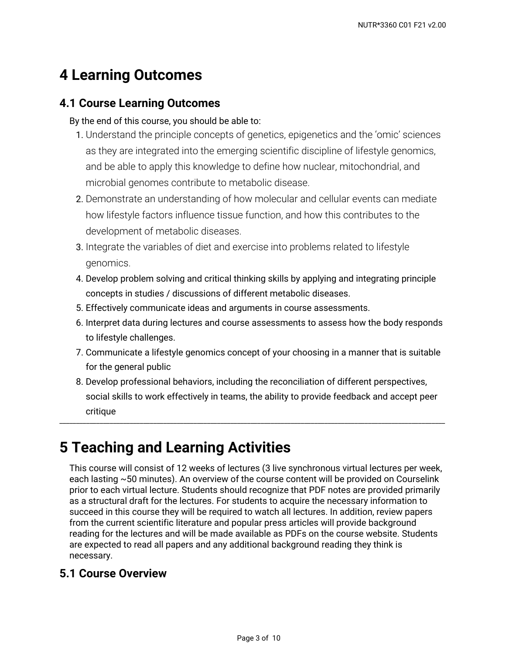# **4 Learning Outcomes**

### **4.1 Course Learning Outcomes**

By the end of this course, you should be able to:

- **1.** Understand the principle concepts of genetics, epigenetics and the 'omic' sciences as they are integrated into the emerging scientific discipline of lifestyle genomics, and be able to apply this knowledge to define how nuclear, mitochondrial, and microbial genomes contribute to metabolic disease.
- Demonstrate an understanding of how molecular and cellular events can mediate 2. how lifestyle factors influence tissue function, and how this contributes to the development of metabolic diseases.
- **3**. Integrate the variables of diet and exercise into problems related to lifestyle genomics.
- 4. Develop problem solving and critical thinking skills by applying and integrating principle concepts in studies / discussions of different metabolic diseases.
- 5. Effectively communicate ideas and arguments in course assessments.
- 6. Interpret data during lectures and course assessments to assess how the body responds to lifestyle challenges.
- 7. Communicate a lifestyle genomics concept of your choosing in a manner that is suitable for the general public
- 8. Develop professional behaviors, including the reconciliation of different perspectives, social skills to work effectively in teams, the ability to provide feedback and accept peer critique

\_\_\_\_\_\_\_\_\_\_\_\_\_\_\_\_\_\_\_\_\_\_\_\_\_\_\_\_\_\_\_\_\_\_\_\_\_\_\_\_\_\_\_\_\_\_\_\_\_\_\_\_\_\_\_\_\_\_\_\_\_\_\_\_\_\_\_\_\_\_\_\_\_\_\_\_\_\_\_\_\_\_\_\_\_\_\_\_\_\_\_\_\_\_\_\_\_\_\_\_\_\_\_\_\_\_\_\_\_\_\_\_\_\_\_

# **5 Teaching and Learning Activities**

This course will consist of 12 weeks of lectures (3 live synchronous virtual lectures per week, each lasting ~50 minutes). An overview of the course content will be provided on Courselink prior to each virtual lecture. Students should recognize that PDF notes are provided primarily as a structural draft for the lectures. For students to acquire the necessary information to succeed in this course they will be required to watch all lectures. In addition, review papers from the current scientific literature and popular press articles will provide background reading for the lectures and will be made available as PDFs on the course website. Students are expected to read all papers and any additional background reading they think is necessary.

### **5.1 Course Overview**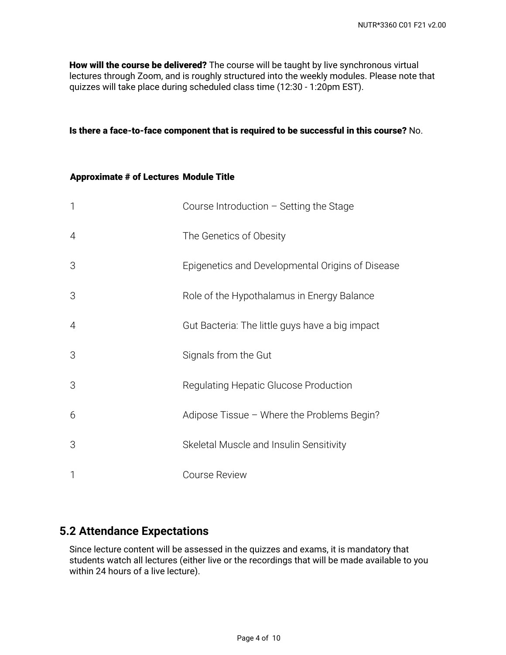**How will the course be delivered?** The course will be taught by live synchronous virtual lectures through Zoom, and is roughly structured into the weekly modules. Please note that quizzes will take place during scheduled class time (12:30 - 1:20pm EST).

#### **Is there a face-to-face component that is required to be successful in this course?** No.

#### **Approximate # of Lectures Module Title**

| $\mathbf{1}$   | Course Introduction $-$ Setting the Stage        |
|----------------|--------------------------------------------------|
| 4              | The Genetics of Obesity                          |
| 3              | Epigenetics and Developmental Origins of Disease |
| 3              | Role of the Hypothalamus in Energy Balance       |
| $\overline{4}$ | Gut Bacteria: The little guys have a big impact  |
| 3              | Signals from the Gut                             |
| 3              | Regulating Hepatic Glucose Production            |
| 6              | Adipose Tissue - Where the Problems Begin?       |
| 3              | Skeletal Muscle and Insulin Sensitivity          |
| $\mathbf{1}$   | <b>Course Review</b>                             |

### **5.2 Attendance Expectations**

Since lecture content will be assessed in the quizzes and exams, it is mandatory that students watch all lectures (either live or the recordings that will be made available to you within 24 hours of a live lecture).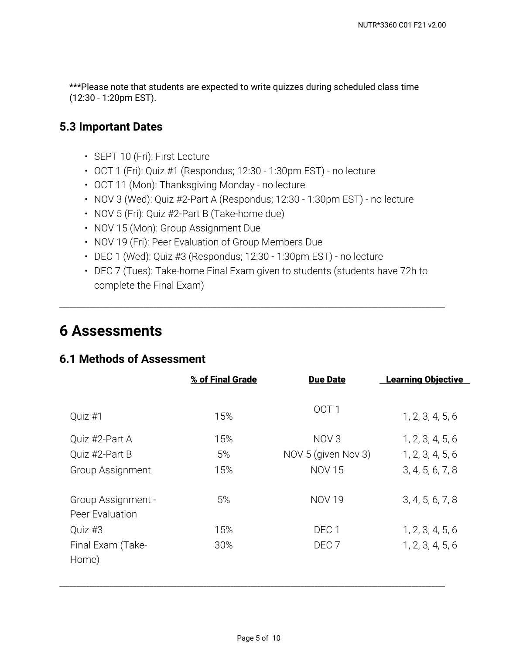\*\*\*Please note that students are expected to write quizzes during scheduled class time (12:30 - 1:20pm EST).

### **5.3 Important Dates**

- SEPT 10 (Fri): First Lecture
- OCT 1 (Fri): Quiz #1 (Respondus; 12:30 1:30pm EST) no lecture
- OCT 11 (Mon): Thanksgiving Monday no lecture
- NOV 3 (Wed): Quiz #2-Part A (Respondus; 12:30 1:30pm EST) no lecture
- NOV 5 (Fri): Quiz #2-Part B (Take-home due)
- NOV 15 (Mon): Group Assignment Due
- NOV 19 (Fri): Peer Evaluation of Group Members Due
- DEC 1 (Wed): Quiz #3 (Respondus; 12:30 1:30pm EST) no lecture
- DEC 7 (Tues): Take-home Final Exam given to students (students have 72h to complete the Final Exam)

\_\_\_\_\_\_\_\_\_\_\_\_\_\_\_\_\_\_\_\_\_\_\_\_\_\_\_\_\_\_\_\_\_\_\_\_\_\_\_\_\_\_\_\_\_\_\_\_\_\_\_\_\_\_\_\_\_\_\_\_\_\_\_\_\_\_\_\_\_\_\_\_\_\_\_\_\_\_\_\_\_\_\_\_\_\_\_\_\_\_\_\_\_\_\_\_\_\_\_\_\_\_\_\_\_\_\_\_\_\_\_\_\_\_\_

### **6 Assessments**

### **6.1 Methods of Assessment**

|                                              | % of Final Grade | <b>Due Date</b>     | <b>Learning Objective</b> |
|----------------------------------------------|------------------|---------------------|---------------------------|
| Quiz #1                                      | 15%              | OCT <sub>1</sub>    | 1, 2, 3, 4, 5, 6          |
| Quiz #2-Part A                               | 15%              | NOV <sub>3</sub>    | 1, 2, 3, 4, 5, 6          |
| Quiz #2-Part B                               | 5%               | NOV 5 (given Nov 3) | 1, 2, 3, 4, 5, 6          |
| Group Assignment                             | 15%              | <b>NOV 15</b>       | 3, 4, 5, 6, 7, 8          |
| <b>Group Assignment -</b><br>Peer Evaluation | 5%               | <b>NOV 19</b>       | 3, 4, 5, 6, 7, 8          |
| Quiz #3                                      | 15%              | DEC <sub>1</sub>    | 1, 2, 3, 4, 5, 6          |
| Final Exam (Take-<br>Home)                   | 30%              | DEC <sub>7</sub>    | 1, 2, 3, 4, 5, 6          |

\_\_\_\_\_\_\_\_\_\_\_\_\_\_\_\_\_\_\_\_\_\_\_\_\_\_\_\_\_\_\_\_\_\_\_\_\_\_\_\_\_\_\_\_\_\_\_\_\_\_\_\_\_\_\_\_\_\_\_\_\_\_\_\_\_\_\_\_\_\_\_\_\_\_\_\_\_\_\_\_\_\_\_\_\_\_\_\_\_\_\_\_\_\_\_\_\_\_\_\_\_\_\_\_\_\_\_\_\_\_\_\_\_\_\_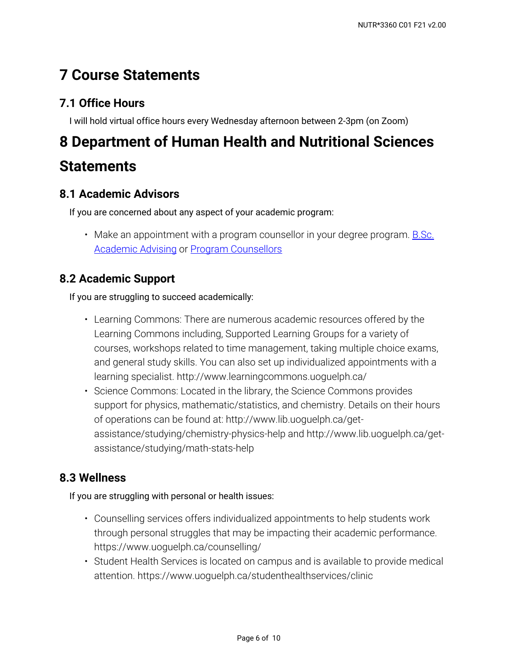# **7 Course Statements**

### **7.1 Office Hours**

I will hold virtual office hours every Wednesday afternoon between 2-3pm (on Zoom)

# **8 Department of Human Health and Nutritional Sciences Statements**

### **8.1 Academic Advisors**

If you are concerned about any aspect of your academic program:

• Make an appointment with a program counsellor in your degree program. <u>B.Sc.</u> [Academic Advising](https://bsc.uoguelph.ca/) or [Program Counsellors](https://www.uoguelph.ca/uaic/programcounsellors)

### **8.2 Academic Support**

If you are struggling to succeed academically:

- Learning Commons: There are numerous academic resources offered by the Learning Commons including, Supported Learning Groups for a variety of courses, workshops related to time management, taking multiple choice exams, and general study skills. You can also set up individualized appointments with a learning specialist. http://www.learningcommons.uoguelph.ca/
- Science Commons: Located in the library, the Science Commons provides support for physics, mathematic/statistics, and chemistry. Details on their hours of operations can be found at: http://www.lib.uoguelph.ca/getassistance/studying/chemistry-physics-help and http://www.lib.uoguelph.ca/getassistance/studying/math-stats-help

### **8.3 Wellness**

If you are struggling with personal or health issues:

- Counselling services offers individualized appointments to help students work through personal struggles that may be impacting their academic performance. https://www.uoguelph.ca/counselling/
- Student Health Services is located on campus and is available to provide medical attention. https://www.uoguelph.ca/studenthealthservices/clinic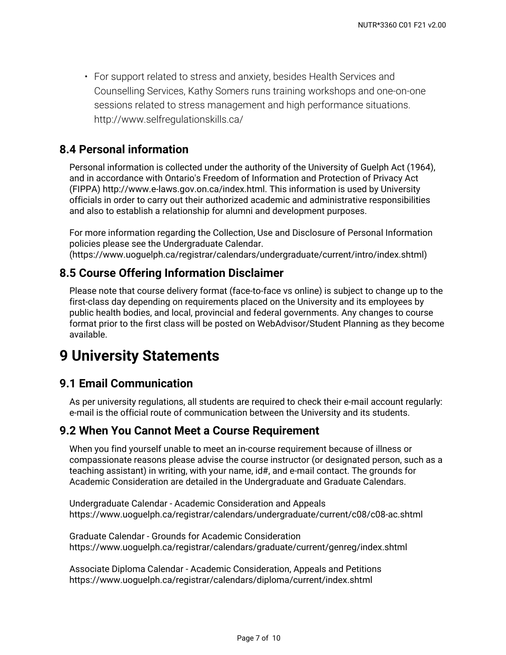For support related to stress and anxiety, besides Health Services and • Counselling Services, Kathy Somers runs training workshops and one-on-one sessions related to stress management and high performance situations. http://www.selfregulationskills.ca/

### **8.4 Personal information**

Personal information is collected under the authority of the University of Guelph Act (1964), and in accordance with Ontario's Freedom of Information and Protection of Privacy Act (FIPPA) http://www.e-laws.gov.on.ca/index.html. This information is used by University officials in order to carry out their authorized academic and administrative responsibilities and also to establish a relationship for alumni and development purposes.

For more information regarding the Collection, Use and Disclosure of Personal Information policies please see the Undergraduate Calendar. (https://www.uoguelph.ca/registrar/calendars/undergraduate/current/intro/index.shtml)

### **8.5 Course Offering Information Disclaimer**

Please note that course delivery format (face-to-face vs online) is subject to change up to the first-class day depending on requirements placed on the University and its employees by public health bodies, and local, provincial and federal governments. Any changes to course format prior to the first class will be posted on WebAdvisor/Student Planning as they become available.

### **9 University Statements**

### **9.1 Email Communication**

As per university regulations, all students are required to check their e-mail account regularly: e-mail is the official route of communication between the University and its students.

### **9.2 When You Cannot Meet a Course Requirement**

When you find yourself unable to meet an in-course requirement because of illness or compassionate reasons please advise the course instructor (or designated person, such as a teaching assistant) in writing, with your name, id#, and e-mail contact. The grounds for Academic Consideration are detailed in the Undergraduate and Graduate Calendars.

Undergraduate Calendar - Academic Consideration and Appeals https://www.uoguelph.ca/registrar/calendars/undergraduate/current/c08/c08-ac.shtml

Graduate Calendar - Grounds for Academic Consideration https://www.uoguelph.ca/registrar/calendars/graduate/current/genreg/index.shtml

Associate Diploma Calendar - Academic Consideration, Appeals and Petitions https://www.uoguelph.ca/registrar/calendars/diploma/current/index.shtml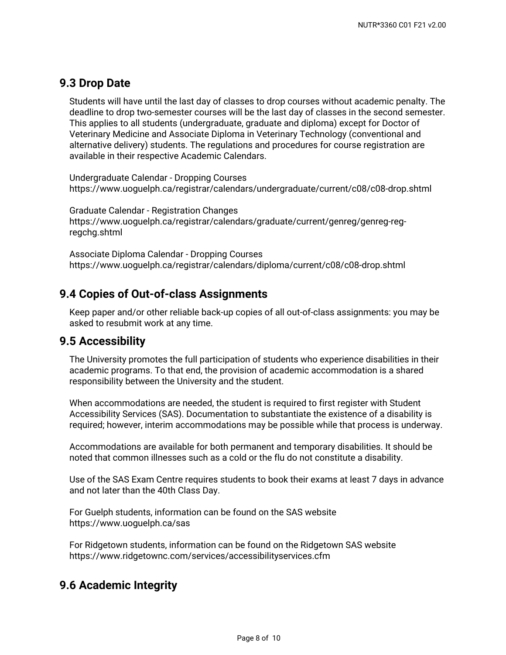### **9.3 Drop Date**

Students will have until the last day of classes to drop courses without academic penalty. The deadline to drop two-semester courses will be the last day of classes in the second semester. This applies to all students (undergraduate, graduate and diploma) except for Doctor of Veterinary Medicine and Associate Diploma in Veterinary Technology (conventional and alternative delivery) students. The regulations and procedures for course registration are available in their respective Academic Calendars.

Undergraduate Calendar - Dropping Courses https://www.uoguelph.ca/registrar/calendars/undergraduate/current/c08/c08-drop.shtml

Graduate Calendar - Registration Changes https://www.uoguelph.ca/registrar/calendars/graduate/current/genreg/genreg-regregchg.shtml

Associate Diploma Calendar - Dropping Courses https://www.uoguelph.ca/registrar/calendars/diploma/current/c08/c08-drop.shtml

### **9.4 Copies of Out-of-class Assignments**

Keep paper and/or other reliable back-up copies of all out-of-class assignments: you may be asked to resubmit work at any time.

### **9.5 Accessibility**

The University promotes the full participation of students who experience disabilities in their academic programs. To that end, the provision of academic accommodation is a shared responsibility between the University and the student.

When accommodations are needed, the student is required to first register with Student Accessibility Services (SAS). Documentation to substantiate the existence of a disability is required; however, interim accommodations may be possible while that process is underway.

Accommodations are available for both permanent and temporary disabilities. It should be noted that common illnesses such as a cold or the flu do not constitute a disability.

Use of the SAS Exam Centre requires students to book their exams at least 7 days in advance and not later than the 40th Class Day.

For Guelph students, information can be found on the SAS website https://www.uoguelph.ca/sas

For Ridgetown students, information can be found on the Ridgetown SAS website https://www.ridgetownc.com/services/accessibilityservices.cfm

### **9.6 Academic Integrity**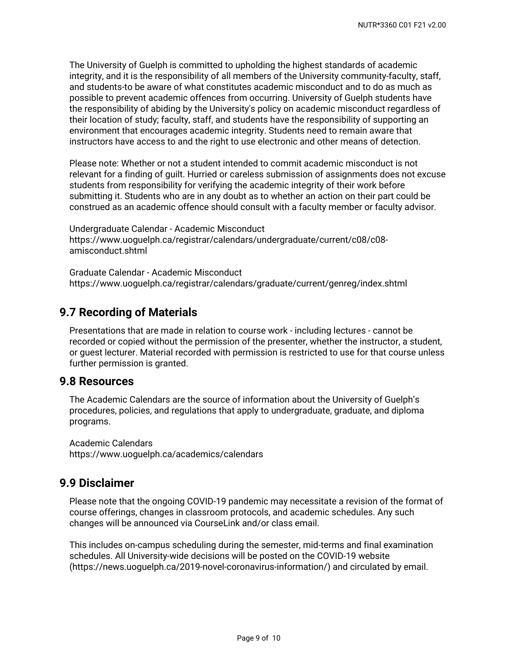The University of Guelph is committed to upholding the highest standards of academic integrity, and it is the responsibility of all members of the University community-faculty, staff, and students-to be aware of what constitutes academic misconduct and to do as much as possible to prevent academic offences from occurring. University of Guelph students have the responsibility of abiding by the University's policy on academic misconduct regardless of their location of study; faculty, staff, and students have the responsibility of supporting an environment that encourages academic integrity. Students need to remain aware that instructors have access to and the right to use electronic and other means of detection.

Please note: Whether or not a student intended to commit academic misconduct is not relevant for a finding of guilt. Hurried or careless submission of assignments does not excuse students from responsibility for verifying the academic integrity of their work before submitting it. Students who are in any doubt as to whether an action on their part could be construed as an academic offence should consult with a faculty member or faculty advisor.

Undergraduate Calendar - Academic Misconduct https://www.uoguelph.ca/registrar/calendars/undergraduate/current/c08/c08 amisconduct.shtml

Graduate Calendar - Academic Misconduct https://www.uoguelph.ca/registrar/calendars/graduate/current/genreg/index.shtml

### **9.7 Recording of Materials**

Presentations that are made in relation to course work - including lectures - cannot be recorded or copied without the permission of the presenter, whether the instructor, a student, or guest lecturer. Material recorded with permission is restricted to use for that course unless further permission is granted.

### **9.8 Resources**

The Academic Calendars are the source of information about the University of Guelph's procedures, policies, and regulations that apply to undergraduate, graduate, and diploma programs.

Academic Calendars https://www.uoguelph.ca/academics/calendars

### **9.9 Disclaimer**

Please note that the ongoing COVID-19 pandemic may necessitate a revision of the format of course offerings, changes in classroom protocols, and academic schedules. Any such changes will be announced via CourseLink and/or class email.

This includes on-campus scheduling during the semester, mid-terms and final examination schedules. All University-wide decisions will be posted on the COVID-19 website (https://news.uoguelph.ca/2019-novel-coronavirus-information/) and circulated by email.